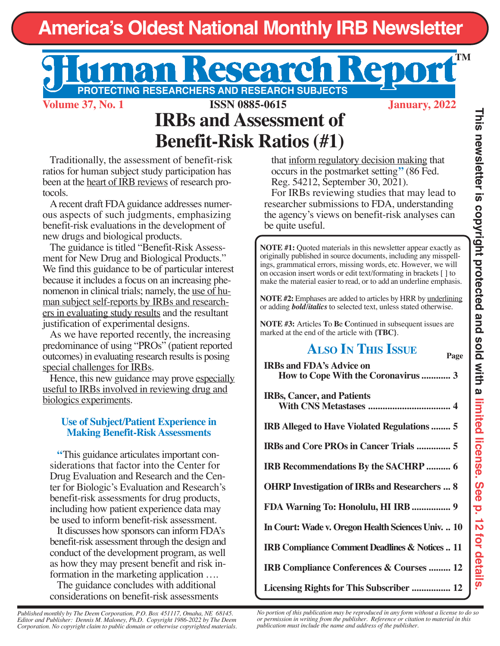# **America's Oldest National Monthly IRB Newsletter**

# **PROTECTING RESEARCHERS AND RESEARCH SUBJECTS**

**Volume 37, No. 1 January, 2022 ISSN 0885-0615**

**TM**

## **IRBs and Assessment of Benefit-Risk Ratios (#1)**

Traditionally, the assessment of benefit-risk ratios for human subject study participation has been at the heart of IRB reviews of research protocols.

A recent draft FDA guidance addresses numerous aspects of such judgments, emphasizing benefit-risk evaluations in the development of new drugs and biological products.

The guidance is titled "Benefit-Risk Assessment for New Drug and Biological Products." We find this guidance to be of particular interest because it includes a focus on an increasing phenomenon in clinical trials; namely, the use of human subject self-reports by IRBs and researchers in evaluating study results and the resultant justification of experimental designs.

As we have reported recently, the increasing predominance of using "PROs" (patient reported outcomes) in evaluating research results is posing special challenges for IRBs.

Hence, this new guidance may prove especially useful to IRBs involved in reviewing drug and biologics experiments.

## **Use of Subject/Patient Experience in Making Benefit-Risk Assessments**

**"**This guidance articulates important considerations that factor into the Center for Drug Evaluation and Research and the Center for Biologic's Evaluation and Research's benefit-risk assessments for drug products, including how patient experience data may be used to inform benefit-risk assessment.

It discusses how sponsors can inform FDA's benefit-risk assessment through the design and conduct of the development program, as well as how they may present benefit and risk information in the marketing application ….

The guidance concludes with additional considerations on benefit-risk assessments

that inform regulatory decision making that occurs in the postmarket setting**"** (86 Fed. Reg. 54212, September 30, 2021).

For IRBs reviewing studies that may lead to researcher submissions to FDA, understanding the agency's views on benefit-risk analyses can be quite useful.

**NOTE #1:** Quoted materials in this newsletter appear exactly as originally published in source documents, including any misspellings, grammatical errors, missing words, etc. However, we will on occasion insert words or edit text/formating in brackets [ ] to make the material easier to read, or to add an underline emphasis.

**NOTE #2:** Emphases are added to articles by HRR by underlining or adding *bold/italics* to selected text, unless stated otherwise.

**NOTE #3:** Articles **T**o **B**e **C**ontinued in subsequent issues are marked at the end of the article with **{TBC}**.

## **ALSO IN THIS ISSUE Page**

| <b>IRBs and FDA's Advice on</b><br>How to Cope With the Coronavirus  3 |
|------------------------------------------------------------------------|
|                                                                        |
| <b>IRBs, Cancer, and Patients</b>                                      |
| <b>IRB Alleged to Have Violated Regulations  5</b>                     |
| <b>IRBs and Core PROs in Cancer Trials  5</b>                          |
| <b>IRB Recommendations By the SACHRP  6</b>                            |
| <b>OHRP Investigation of IRBs and Researchers  8</b>                   |
| FDA Warning To: Honolulu, HI IRB  9                                    |
| In Court: Wade v. Oregon Health Sciences Univ.  10                     |
| IRB Compliance Comment Deadlines & Notices  11                         |
| IRB Compliance Conferences & Courses  12                               |
| Licensing Rights for This Subscriber  12                               |

**This newsletter is copyright protected and sold with a limited license. See p. 12 for details.**

*Published monthly by The Deem Corporation, P.O. Box 451117, Omaha, NE 68145. Editor and Publisher: Dennis M. Maloney, Ph.D. Copyright 1986-2022 by The Deem Corporation. No copyright claim to public domain or otherwise copyrighted materials.* *No portion of this publication may be reproduced in any form without a license to do so or permission in writing from the publisher. Reference or citation to material in this publication must include the name and address of the publisher.*